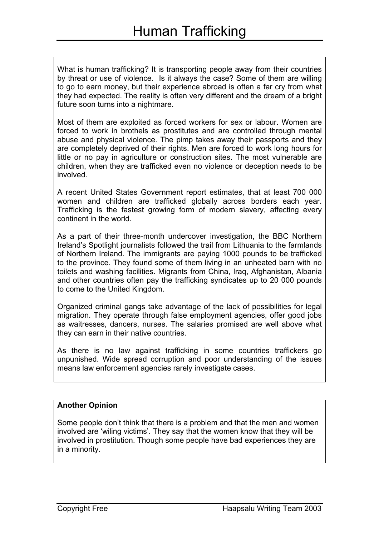What is human trafficking? It is transporting people away from their countries by threat or use of violence. Is it always the case? Some of them are willing to go to earn money, but their experience abroad is often a far cry from what they had expected. The reality is often very different and the dream of a bright future soon turns into a nightmare.

Most of them are exploited as forced workers for sex or labour. Women are forced to work in brothels as prostitutes and are controlled through mental abuse and physical violence. The pimp takes away their passports and they are completely deprived of their rights. Men are forced to work long hours for little or no pay in agriculture or construction sites. The most vulnerable are children, when they are trafficked even no violence or deception needs to be involved.

A recent United States Government report estimates, that at least 700 000 women and children are trafficked globally across borders each year. Trafficking is the fastest growing form of modern slavery, affecting every continent in the world.

As a part of their three-month undercover investigation, the BBC Northern Ireland's Spotlight journalists followed the trail from Lithuania to the farmlands of Northern Ireland. The immigrants are paying 1000 pounds to be trafficked to the province. They found some of them living in an unheated barn with no toilets and washing facilities. Migrants from China, Iraq, Afghanistan, Albania and other countries often pay the trafficking syndicates up to 20 000 pounds to come to the United Kingdom.

Organized criminal gangs take advantage of the lack of possibilities for legal migration. They operate through false employment agencies, offer good jobs as waitresses, dancers, nurses. The salaries promised are well above what they can earn in their native countries.

As there is no law against trafficking in some countries traffickers go unpunished. Wide spread corruption and poor understanding of the issues means law enforcement agencies rarely investigate cases.

## **Another Opinion**

Some people don't think that there is a problem and that the men and women involved are 'wiling victims'. They say that the women know that they will be involved in prostitution. Though some people have bad experiences they are in a minority.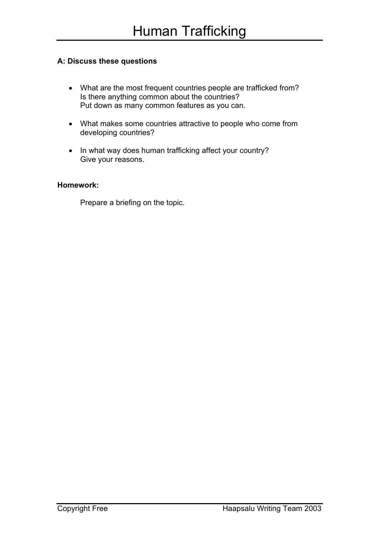## **A: Discuss these questions**

- What are the most frequent countries people are trafficked from? Is there anything common about the countries? Put down as many common features as you can.
- What makes some countries attractive to people who come from developing countries?
- In what way does human trafficking affect your country? Give your reasons.

## **Homework:**

Prepare a briefing on the topic.